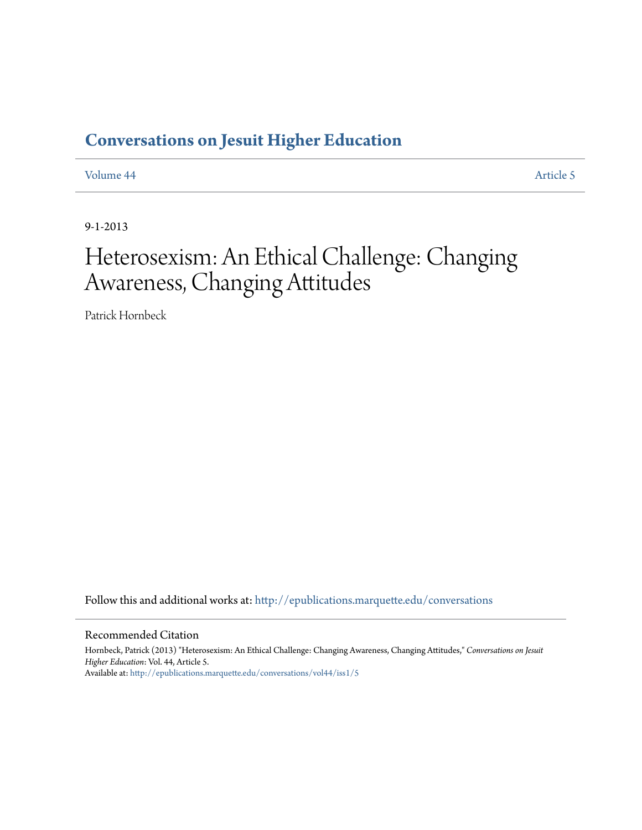### **[Conversations on Jesuit Higher Education](http://epublications.marquette.edu/conversations?utm_source=epublications.marquette.edu%2Fconversations%2Fvol44%2Fiss1%2F5&utm_medium=PDF&utm_campaign=PDFCoverPages)**

[Volume 44](http://epublications.marquette.edu/conversations/vol44?utm_source=epublications.marquette.edu%2Fconversations%2Fvol44%2Fiss1%2F5&utm_medium=PDF&utm_campaign=PDFCoverPages) [Article 5](http://epublications.marquette.edu/conversations/vol44/iss1/5?utm_source=epublications.marquette.edu%2Fconversations%2Fvol44%2Fiss1%2F5&utm_medium=PDF&utm_campaign=PDFCoverPages)

9-1-2013

## Heterosexism: An Ethical Challenge: Changing Awareness, Changing Attitudes

Patrick Hornbeck

Follow this and additional works at: [http://epublications.marquette.edu/conversations](http://epublications.marquette.edu/conversations?utm_source=epublications.marquette.edu%2Fconversations%2Fvol44%2Fiss1%2F5&utm_medium=PDF&utm_campaign=PDFCoverPages)

#### Recommended Citation

Hornbeck, Patrick (2013) "Heterosexism: An Ethical Challenge: Changing Awareness, Changing Attitudes," *Conversations on Jesuit Higher Education*: Vol. 44, Article 5. Available at: [http://epublications.marquette.edu/conversations/vol44/iss1/5](http://epublications.marquette.edu/conversations/vol44/iss1/5?utm_source=epublications.marquette.edu%2Fconversations%2Fvol44%2Fiss1%2F5&utm_medium=PDF&utm_campaign=PDFCoverPages)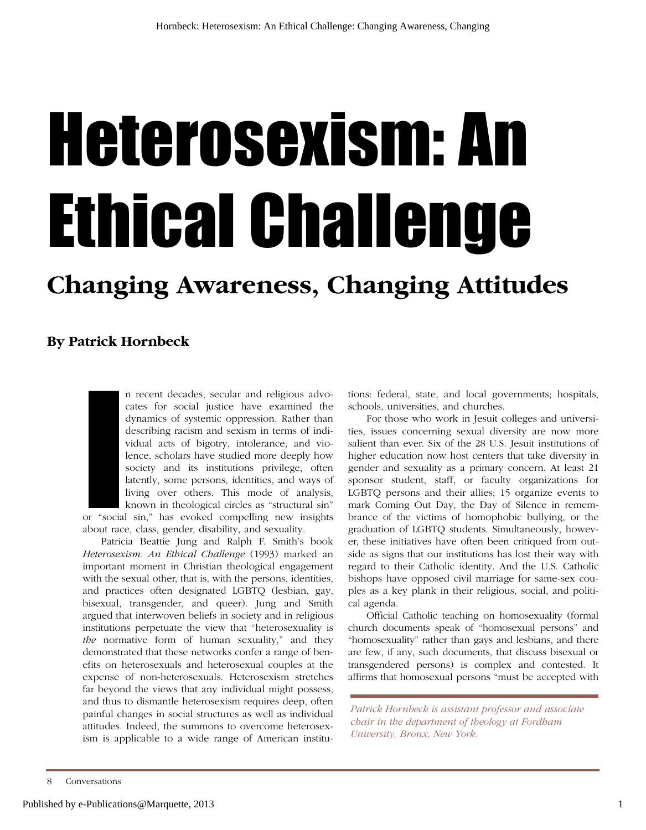# Heterosexism: An Ethical Challenge

## **Changing Awareness, Changing Attitudes**

### **By Patrick Hornbeck**

or "social<br>about race n recent decades, secular and religious advocates for social justice have examined the dynamics of systemic oppression. Rather than describing racism and sexism in terms of individual acts of bigotry, intolerance, and violence, scholars have studied more deeply how society and its institutions privilege, often latently, some persons, identities, and ways of living over others. This mode of analysis, known in theological circles as "structural sin"

or "social sin," has evoked compelling new insights about race, class, gender, disability, and sexuality.

Patricia Beattie Jung and Ralph F. Smith's book *Heterosexism: An Ethical Challenge* (1993) marked an important moment in Christian theological engagement with the sexual other, that is, with the persons, identities, and practices often designated LGBTQ (lesbian, gay, bisexual, transgender, and queer). Jung and Smith argued that interwoven beliefs in society and in religious institutions perpetuate the view that "heterosexuality is *the* normative form of human sexuality," and they demonstrated that these networks confer a range of benefits on heterosexuals and heterosexual couples at the expense of non-heterosexuals. Heterosexism stretches far beyond the views that any individual might possess, and thus to dismantle heterosexism requires deep, often painful changes in social structures as well as individual attitudes. Indeed, the summons to overcome heterosexism is applicable to a wide range of American institutions: federal, state, and local governments; hospitals, schools, universities, and churches.

For those who work in Jesuit colleges and universities, issues concerning sexual diversity are now more salient than ever. Six of the 28 U.S. Jesuit institutions of higher education now host centers that take diversity in gender and sexuality as a primary concern. At least 21 sponsor student, staff, or faculty organizations for LGBTQ persons and their allies; 15 organize events to mark Coming Out Day, the Day of Silence in remembrance of the victims of homophobic bullying, or the graduation of LGBTQ students. Simultaneously, however, these initiatives have often been critiqued from outside as signs that our institutions has lost their way with regard to their Catholic identity. And the U.S. Catholic bishops have opposed civil marriage for same-sex couples as a key plank in their religious, social, and political agenda.

Official Catholic teaching on homosexuality (formal church documents speak of "homosexual persons" and "homosexuality" rather than gays and lesbians, and there are few, if any, such documents, that discuss bisexual or transgendered persons) is complex and contested. It affirms that homosexual persons "must be accepted with

*Patrick Hornbeck is assistant professor and associate chair in the department of theology at Fordham University, Bronx, New York.*

<sup>8</sup> Conversations